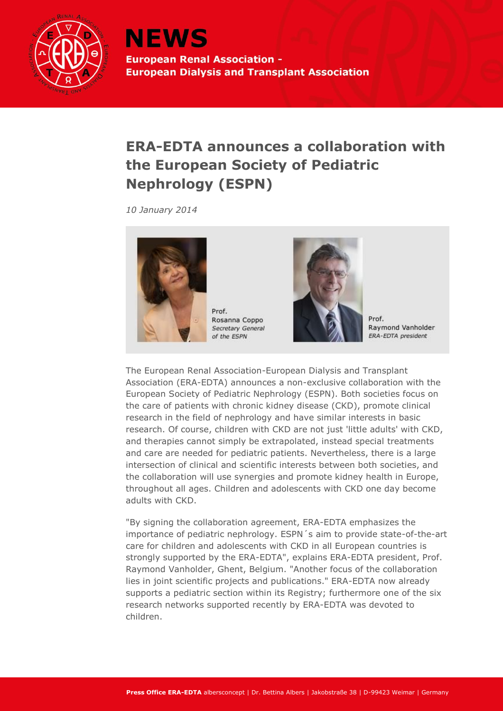

## **ERA-EDTA announces a collaboration with the European Society of Pediatric Nephrology (ESPN)**

*10 January 2014*



Prof. Rosanna Coppo Secretary General of the ESPN



Prof. Raymond Vanholder ERA-EDTA president

The European Renal Association-European Dialysis and Transplant Association (ERA-EDTA) announces a non-exclusive collaboration with the European Society of Pediatric Nephrology (ESPN). Both societies focus on the care of patients with chronic kidney disease (CKD), promote clinical research in the field of nephrology and have similar interests in basic research. Of course, children with CKD are not just 'little adults' with CKD, and therapies cannot simply be extrapolated, instead special treatments and care are needed for pediatric patients. Nevertheless, there is a large intersection of clinical and scientific interests between both societies, and the collaboration will use synergies and promote kidney health in Europe, throughout all ages. Children and adolescents with CKD one day become adults with CKD.

"By signing the collaboration agreement, ERA-EDTA emphasizes the importance of pediatric nephrology. ESPN´s aim to provide state-of-the-art care for children and adolescents with CKD in all European countries is strongly supported by the ERA-EDTA", explains ERA-EDTA president, Prof. Raymond Vanholder, Ghent, Belgium. "Another focus of the collaboration lies in joint scientific projects and publications." ERA-EDTA now already supports a pediatric section within its Registry; furthermore one of the six research networks supported recently by ERA-EDTA was devoted to children.